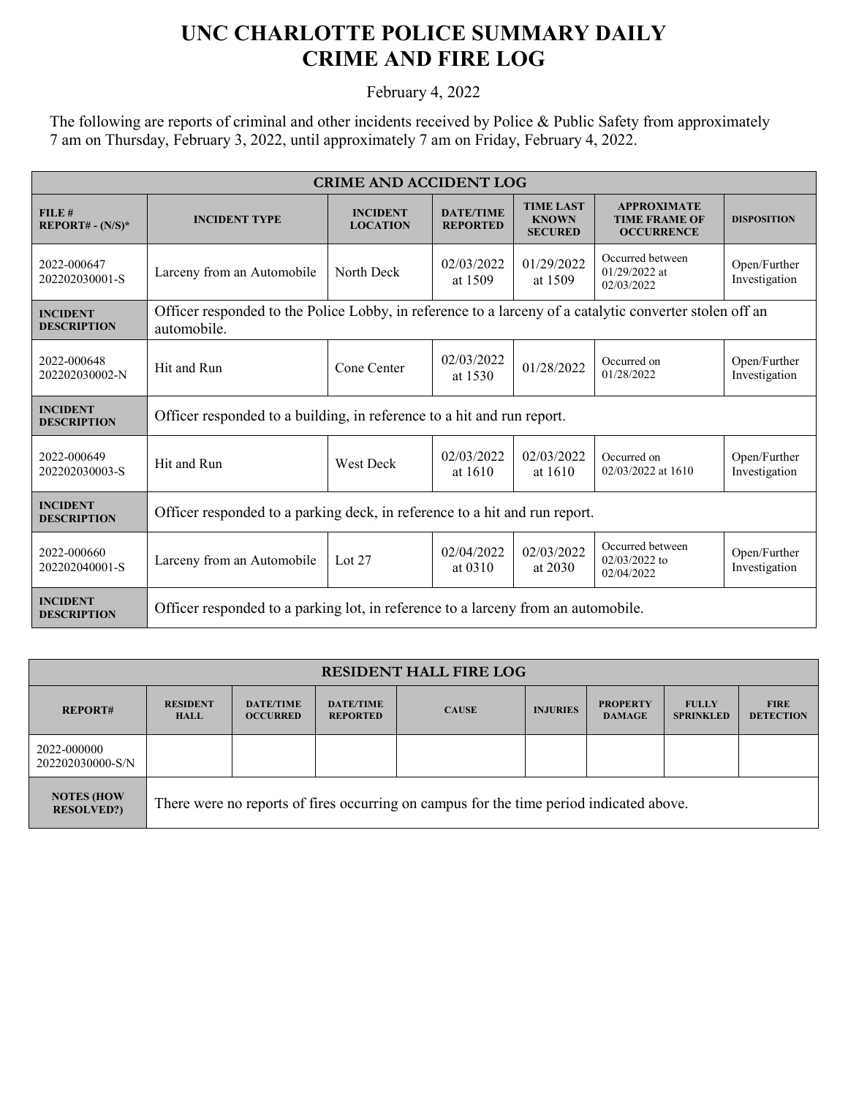## **UNC CHARLOTTE POLICE SUMMARY DAILY CRIME AND FIRE LOG**

February 4, 2022

The following are reports of criminal and other incidents received by Police & Public Safety from approximately 7 am on Thursday, February 3, 2022, until approximately 7 am on Friday, February 4, 2022.

| <b>CRIME AND ACCIDENT LOG</b>         |                                                                                                                        |                                    |                                     |                                                    |                                                                 |                               |  |
|---------------------------------------|------------------------------------------------------------------------------------------------------------------------|------------------------------------|-------------------------------------|----------------------------------------------------|-----------------------------------------------------------------|-------------------------------|--|
| FILE#<br>$REPORT# - (N/S)*$           | <b>INCIDENT TYPE</b>                                                                                                   | <b>INCIDENT</b><br><b>LOCATION</b> | <b>DATE/TIME</b><br><b>REPORTED</b> | <b>TIME LAST</b><br><b>KNOWN</b><br><b>SECURED</b> | <b>APPROXIMATE</b><br><b>TIME FRAME OF</b><br><b>OCCURRENCE</b> | <b>DISPOSITION</b>            |  |
| 2022-000647<br>202202030001-S         | Larceny from an Automobile                                                                                             | North Deck                         | 02/03/2022<br>at 1509               | 01/29/2022<br>at 1509                              | Occurred between<br>$01/29/2022$ at<br>02/03/2022               | Open/Further<br>Investigation |  |
| <b>INCIDENT</b><br><b>DESCRIPTION</b> | Officer responded to the Police Lobby, in reference to a larceny of a catalytic converter stolen off an<br>automobile. |                                    |                                     |                                                    |                                                                 |                               |  |
| 2022-000648<br>202202030002-N         | Hit and Run                                                                                                            | Cone Center                        | 02/03/2022<br>at 1530               | 01/28/2022                                         | Occurred on<br>01/28/2022                                       | Open/Further<br>Investigation |  |
| <b>INCIDENT</b><br><b>DESCRIPTION</b> | Officer responded to a building, in reference to a hit and run report.                                                 |                                    |                                     |                                                    |                                                                 |                               |  |
| 2022-000649<br>202202030003-S         | Hit and Run                                                                                                            | <b>West Deck</b>                   | 02/03/2022<br>at $1610$             | 02/03/2022<br>at 1610                              | Occurred on<br>02/03/2022 at 1610                               | Open/Further<br>Investigation |  |
| <b>INCIDENT</b><br><b>DESCRIPTION</b> | Officer responded to a parking deck, in reference to a hit and run report.                                             |                                    |                                     |                                                    |                                                                 |                               |  |
| 2022-000660<br>202202040001-S         | Larceny from an Automobile                                                                                             | Lot $27$                           | 02/04/2022<br>at 0310               | 02/03/2022<br>at 2030                              | Occurred between<br>$02/03/2022$ to<br>02/04/2022               | Open/Further<br>Investigation |  |
| <b>INCIDENT</b><br><b>DESCRIPTION</b> | Officer responded to a parking lot, in reference to a larceny from an automobile.                                      |                                    |                                     |                                                    |                                                                 |                               |  |

| <b>RESIDENT HALL FIRE LOG</b>          |                                                                                         |                                     |                                     |              |                 |                                  |                                  |                                 |
|----------------------------------------|-----------------------------------------------------------------------------------------|-------------------------------------|-------------------------------------|--------------|-----------------|----------------------------------|----------------------------------|---------------------------------|
| <b>REPORT#</b>                         | <b>RESIDENT</b><br><b>HALL</b>                                                          | <b>DATE/TIME</b><br><b>OCCURRED</b> | <b>DATE/TIME</b><br><b>REPORTED</b> | <b>CAUSE</b> | <b>INJURIES</b> | <b>PROPERTY</b><br><b>DAMAGE</b> | <b>FULLY</b><br><b>SPRINKLED</b> | <b>FIRE</b><br><b>DETECTION</b> |
| 2022-000000<br>202202030000-S/N        |                                                                                         |                                     |                                     |              |                 |                                  |                                  |                                 |
| <b>NOTES (HOW</b><br><b>RESOLVED?)</b> | There were no reports of fires occurring on campus for the time period indicated above. |                                     |                                     |              |                 |                                  |                                  |                                 |